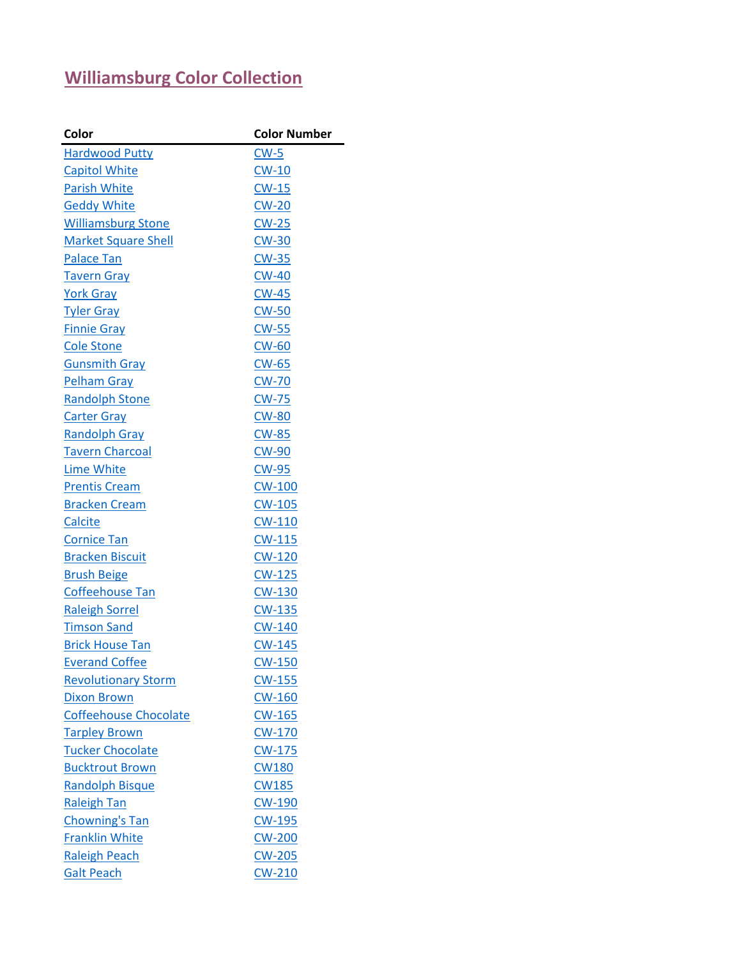## **[Williamsburg Color Collection](http://www.benjaminmoore.com/en-us/for-your-home/color-gallery#&ce_vm=2&ce_trd=WILLIAMSBURG)**

| Color                        | <b>Color Number</b> |
|------------------------------|---------------------|
| <b>Hardwood Putty</b>        | $CW-5$              |
| <b>Capitol White</b>         | $CW-10$             |
| <b>Parish White</b>          | $CW-15$             |
| <b>Geddy White</b>           | $CW-20$             |
| <b>Williamsburg Stone</b>    | $CW-25$             |
| <b>Market Square Shell</b>   | $CW-30$             |
| <b>Palace Tan</b>            | $CW-35$             |
| <b>Tavern Gray</b>           | <b>CW-40</b>        |
| <b>York Gray</b>             | <b>CW-45</b>        |
| <b>Tyler Gray</b>            | $CW-50$             |
| <b>Finnie Gray</b>           | $CW-55$             |
| <b>Cole Stone</b>            | <b>CW-60</b>        |
| <b>Gunsmith Gray</b>         | $CW-65$             |
| <b>Pelham Gray</b>           | <b>CW-70</b>        |
| <b>Randolph Stone</b>        | <b>CW-75</b>        |
| <b>Carter Gray</b>           | <b>CW-80</b>        |
| <b>Randolph Gray</b>         | $CW-85$             |
| <b>Tavern Charcoal</b>       | <b>CW-90</b>        |
| <b>Lime White</b>            | <b>CW-95</b>        |
| <b>Prentis Cream</b>         | <b>CW-100</b>       |
| <b>Bracken Cream</b>         | $CW-105$            |
| Calcite                      | $CW-110$            |
| Cornice Tan                  | $CW-115$            |
| <b>Bracken Biscuit</b>       | <b>CW-120</b>       |
| <b>Brush Beige</b>           | $CW-125$            |
| Coffeehouse Tan              | <b>CW-130</b>       |
| <b>Raleigh Sorrel</b>        | <b>CW-135</b>       |
| <b>Timson Sand</b>           | <b>CW-140</b>       |
| <b>Brick House Tan</b>       | <b>CW-145</b>       |
| <b>Everand Coffee</b>        | <b>CW-150</b>       |
| <b>Revolutionary Storm</b>   | <b>CW-155</b>       |
| <b>Dixon Brown</b>           | <b>CW-160</b>       |
| <b>Coffeehouse Chocolate</b> | $CW-165$            |
| <b>Tarpley Brown</b>         | <b>CW-170</b>       |
| <b>Tucker Chocolate</b>      | CW-175              |
| <b>Bucktrout Brown</b>       | <b>CW180</b>        |
| <b>Randolph Bisque</b>       | <b>CW185</b>        |
| <b>Raleigh Tan</b>           | <b>CW-190</b>       |
| <b>Chowning's Tan</b>        | CW-195              |
| <b>Franklin White</b>        | <b>CW-200</b>       |
| <b>Raleigh Peach</b>         | <b>CW-205</b>       |
| <b>Galt Peach</b>            | <b>CW-210</b>       |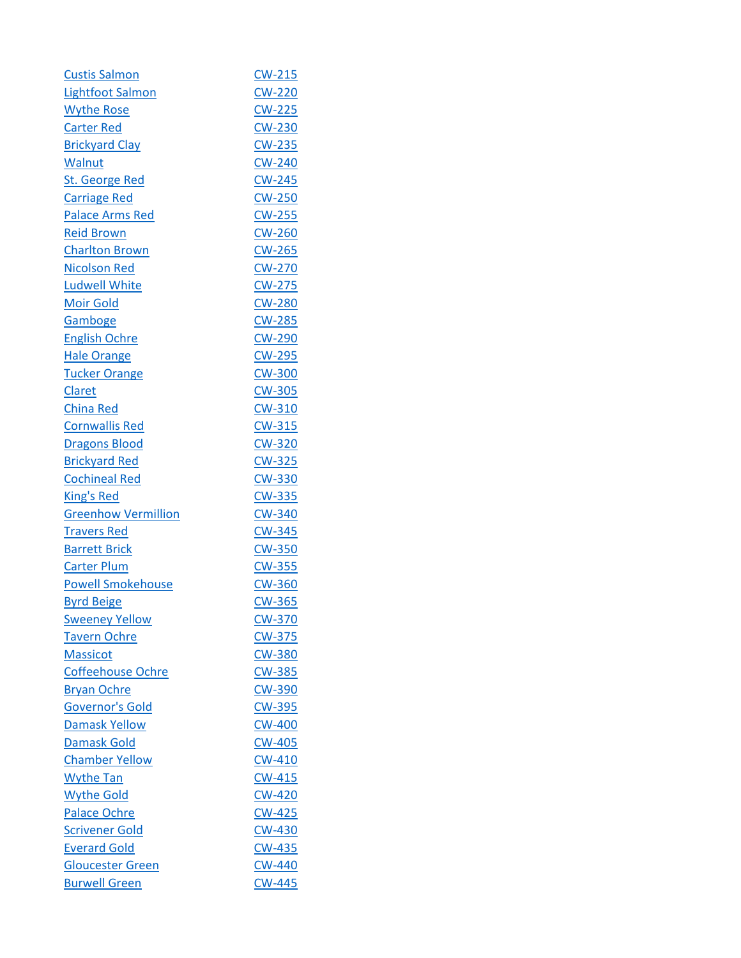| <b>Custis Salmon</b>       | <b>CW-215</b> |
|----------------------------|---------------|
| <b>Lightfoot Salmon</b>    | <b>CW-220</b> |
| <b>Wythe Rose</b>          | <b>CW-225</b> |
| <b>Carter Red</b>          | $CW-230$      |
| <b>Brickyard Clay</b>      | <b>CW-235</b> |
| Walnut                     | <b>CW-240</b> |
| <b>St. George Red</b>      | $CW-245$      |
| <b>Carriage Red</b>        | <b>CW-250</b> |
| <b>Palace Arms Red</b>     | <b>CW-255</b> |
| <b>Reid Brown</b>          | <b>CW-260</b> |
| Charlton Brown             | <b>CW-265</b> |
| <b>Nicolson Red</b>        | <b>CW-270</b> |
| <b>Ludwell White</b>       | <b>CW-275</b> |
| <b>Moir Gold</b>           | <b>CW-280</b> |
| Gamboge                    | <b>CW-285</b> |
| <b>English Ochre</b>       | CW-290        |
| <b>Hale Orange</b>         | <b>CW-295</b> |
| <b>Tucker Orange</b>       | <b>CW-300</b> |
| Claret                     | <b>CW-305</b> |
| <b>China Red</b>           | <b>CW-310</b> |
| <b>Cornwallis Red</b>      | <b>CW-315</b> |
| <b>Dragons Blood</b>       | <b>CW-320</b> |
| <b>Brickyard Red</b>       | <b>CW-325</b> |
| <b>Cochineal Red</b>       | <b>CW-330</b> |
| <b>King's Red</b>          | <b>CW-335</b> |
| <b>Greenhow Vermillion</b> | <b>CW-340</b> |
| <b>Travers Red</b>         | <b>CW-345</b> |
| <b>Barrett Brick</b>       | <b>CW-350</b> |
| <b>Carter Plum</b>         | <b>CW-355</b> |
| <b>Powell Smokehouse</b>   | <b>CW-360</b> |
| <b>Byrd Beige</b>          | CW-365        |
| <b>Sweeney Yellow</b>      | <b>CW-370</b> |
| <b>Tavern Ochre</b>        | <b>CW-375</b> |
| <b>Massicot</b>            | <b>CW-380</b> |
| <b>Coffeehouse Ochre</b>   | <b>CW-385</b> |
| <b>Bryan Ochre</b>         | <b>CW-390</b> |
| <b>Governor's Gold</b>     | <b>CW-395</b> |
| <b>Damask Yellow</b>       | <b>CW-400</b> |
| <b>Damask Gold</b>         | <b>CW-405</b> |
| <b>Chamber Yellow</b>      | <b>CW-410</b> |
| <b>Wythe Tan</b>           | <b>CW-415</b> |
| <b>Wythe Gold</b>          | <b>CW-420</b> |
| <b>Palace Ochre</b>        | <b>CW-425</b> |
| <b>Scrivener Gold</b>      | <b>CW-430</b> |
| <b>Everard Gold</b>        | <b>CW-435</b> |
| <b>Gloucester Green</b>    | <b>CW-440</b> |
| <b>Burwell Green</b>       | <b>CW-445</b> |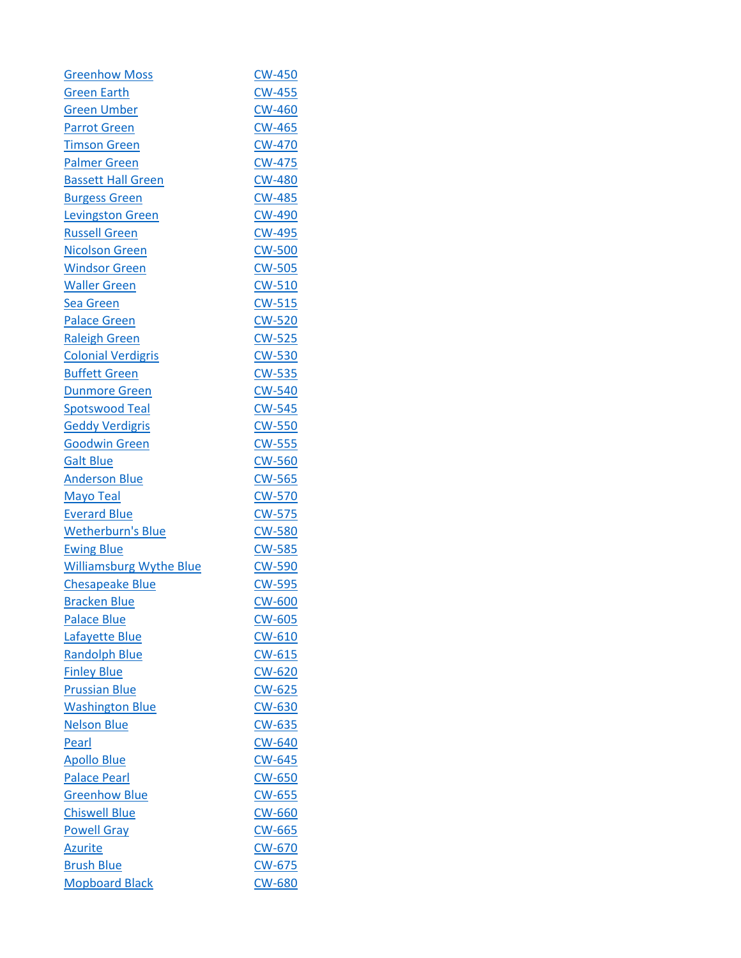| <b>Greenhow Moss</b>           | <b>CW-450</b> |
|--------------------------------|---------------|
| <b>Green Earth</b>             | <b>CW-455</b> |
| <b>Green Umber</b>             | <b>CW-460</b> |
| <b>Parrot Green</b>            | <b>CW-465</b> |
| <b>Timson Green</b>            | <b>CW-470</b> |
| <b>Palmer Green</b>            | <b>CW-475</b> |
| <b>Bassett Hall Green</b>      | <b>CW-480</b> |
| <b>Burgess Green</b>           | <b>CW-485</b> |
| <b>Levingston Green</b>        | <b>CW-490</b> |
| <b>Russell Green</b>           | <b>CW-495</b> |
| <b>Nicolson Green</b>          | <b>CW-500</b> |
| <b>Windsor Green</b>           | <b>CW-505</b> |
| <b>Waller Green</b>            | $CW-510$      |
| <b>Sea Green</b>               | <b>CW-515</b> |
| <b>Palace Green</b>            | <b>CW-520</b> |
| <b>Raleigh Green</b>           | $CW-525$      |
| <b>Colonial Verdigris</b>      | <b>CW-530</b> |
| <b>Buffett Green</b>           | <b>CW-535</b> |
| <b>Dunmore Green</b>           | <b>CW-540</b> |
| <b>Spotswood Teal</b>          | <b>CW-545</b> |
| <b>Geddy Verdigris</b>         | <b>CW-550</b> |
| <b>Goodwin Green</b>           | <b>CW-555</b> |
| <b>Galt Blue</b>               | <b>CW-560</b> |
| <b>Anderson Blue</b>           | $CW-565$      |
| <b>Mayo Teal</b>               | <b>CW-570</b> |
| <b>Everard Blue</b>            | <b>CW-575</b> |
| <b>Wetherburn's Blue</b>       | <b>CW-580</b> |
| <b>Ewing Blue</b>              | <b>CW-585</b> |
| <b>Williamsburg Wythe Blue</b> | <b>CW-590</b> |
| Chesapeake Blue                | <b>CW-595</b> |
| <b>Bracken Blue</b>            | <b>CW-600</b> |
| <b>Palace Blue</b>             | <b>CW-605</b> |
| Lafayette Blue                 | <b>CW-610</b> |
| <b>Randolph Blue</b>           | <b>CW-615</b> |
| <b>Finley Blue</b>             | <b>CW-620</b> |
| <b>Prussian Blue</b>           | <b>CW-625</b> |
| <b>Washington Blue</b>         | <b>CW-630</b> |
| <b>Nelson Blue</b>             | CW-635        |
| Pearl                          | <b>CW-640</b> |
| <b>Apollo Blue</b>             | <b>CW-645</b> |
| <b>Palace Pearl</b>            | <b>CW-650</b> |
| <b>Greenhow Blue</b>           | $CW-655$      |
| <b>Chiswell Blue</b>           | <b>CW-660</b> |
| <b>Powell Gray</b>             | <b>CW-665</b> |
| <b>Azurite</b>                 | <u>CW-670</u> |
| <b>Brush Blue</b>              | CW-675        |
| <b>Mopboard Black</b>          | CW-680        |